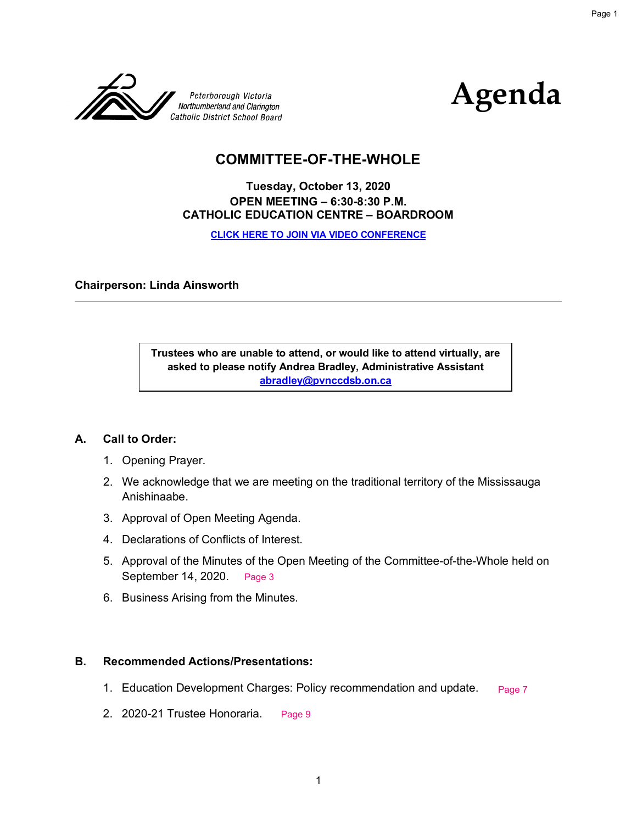



# **COMMITTEE-OF-THE-WHOLE**

# **Tuesday, October 13, 2020 OPEN MEETING – 6:30-8:30 P.M. CATHOLIC EDUCATION CENTRE – BOARDROOM**

**[CLICK HERE TO JOIN VIA VIDEO CONFERENCE](meet.google.com/upe-twnr-aqp)**

#### **Chairperson: Linda Ainsworth**

**Trustees who are unable to attend, or would like to attend virtually, are asked to please notify Andrea Bradley, Administrative Assistant abradley@pvnccdsb.on.ca** 

#### **A. Call to Order:**

- 1. Opening Prayer.
- 2. We acknowledge that we are meeting on the traditional territory of the Mississauga Anishinaabe.
- 3. Approval of Open Meeting Agenda.
- 4. Declarations of Conflicts of Interest.
- 5. Approval of the Minutes of the Open Meeting of the Committee-of-the-Whole held on September 14, 2020. Page 3
- 6. Business Arising from the Minutes.

#### **B. Recommended Actions/Presentations:**

- 1. Education Development Charges: Policy recommendation and update. Page 7
- 2. 2020-21 Trustee Honoraria. Page 9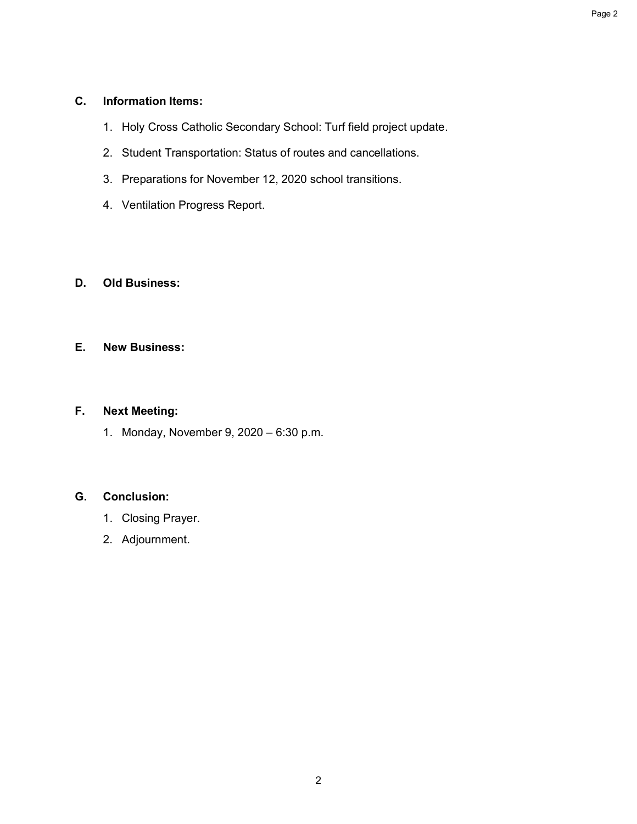# **C. Information Items:**

- 1. Holy Cross Catholic Secondary School: Turf field project update.
- 2. Student Transportation: Status of routes and cancellations.
- 3. Preparations for November 12, 2020 school transitions.
- 4. Ventilation Progress Report.

# **D. Old Business:**

### **E. New Business:**

# **F. Next Meeting:**

1. Monday, November 9, 2020 – 6:30 p.m.

# **G. Conclusion:**

- 1. Closing Prayer.
- 2. Adjournment.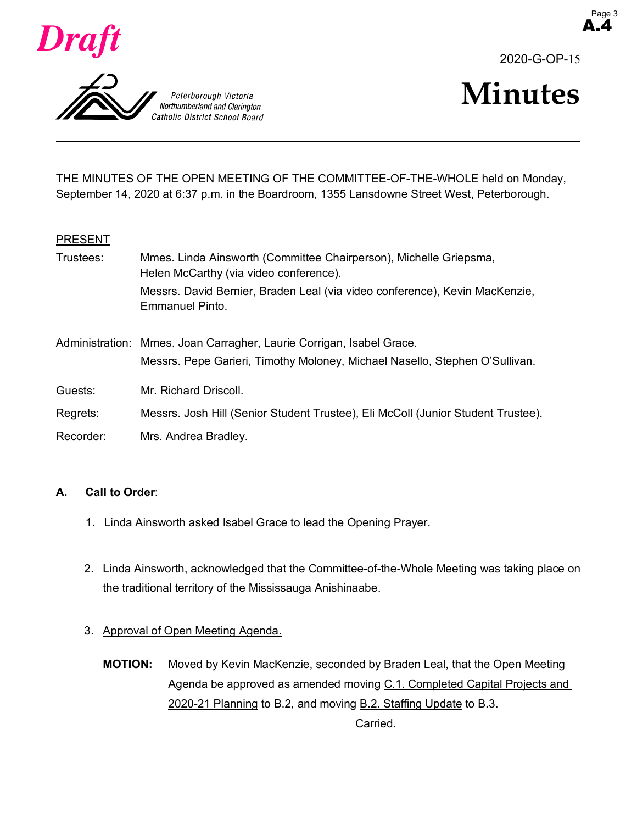



2020-G-OP-15

A.4



THE MINUTES OF THE OPEN MEETING OF THE COMMITTEE-OF-THE-WHOLE held on Monday, September 14, 2020 at 6:37 p.m. in the Boardroom, 1355 Lansdowne Street West, Peterborough.

#### **PRESENT**

| Trustees: | Mmes. Linda Ainsworth (Committee Chairperson), Michelle Griepsma,<br>Helen McCarthy (via video conference).                                         |  |  |
|-----------|-----------------------------------------------------------------------------------------------------------------------------------------------------|--|--|
|           | Messrs. David Bernier, Braden Leal (via video conference), Kevin MacKenzie,<br>Emmanuel Pinto.                                                      |  |  |
|           | Administration: Mmes. Joan Carragher, Laurie Corrigan, Isabel Grace.<br>Messrs. Pepe Garieri, Timothy Moloney, Michael Nasello, Stephen O'Sullivan. |  |  |
| Guests:   | Mr. Richard Driscoll.                                                                                                                               |  |  |
| Regrets:  | Messrs. Josh Hill (Senior Student Trustee), Eli McColl (Junior Student Trustee).                                                                    |  |  |
| Recorder: | Mrs. Andrea Bradley.                                                                                                                                |  |  |

# **A. Call to Order**:

- 1. Linda Ainsworth asked Isabel Grace to lead the Opening Prayer.
- 2. Linda Ainsworth, acknowledged that the Committee-of-the-Whole Meeting was taking place on the traditional territory of the Mississauga Anishinaabe.
- 3. Approval of Open Meeting Agenda.
	- **MOTION:** Moved by Kevin MacKenzie, seconded by Braden Leal, that the Open Meeting Agenda be approved as amended moving C.1. Completed Capital Projects and 2020-21 Planning to B.2, and moving B.2. Staffing Update to B.3.

Carried.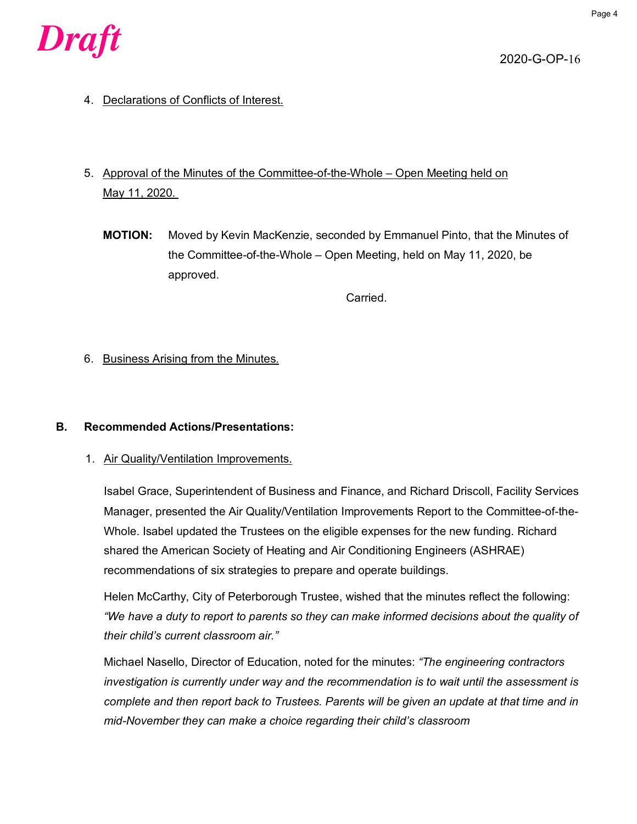

2020-G-OP-16

- 4. Declarations of Conflicts of Interest.
- 5. Approval of the Minutes of the Committee-of-the-Whole Open Meeting held on May 11, 2020.
	- **MOTION:** Moved by Kevin MacKenzie, seconded by Emmanuel Pinto, that the Minutes of the Committee-of-the-Whole – Open Meeting, held on May 11, 2020, be approved.

Carried.

6. Business Arising from the Minutes.

#### **B. Recommended Actions/Presentations:**

1. Air Quality/Ventilation Improvements.

Isabel Grace, Superintendent of Business and Finance, and Richard Driscoll, Facility Services Manager, presented the Air Quality/Ventilation Improvements Report to the Committee-of-the-Whole. Isabel updated the Trustees on the eligible expenses for the new funding. Richard shared the American Society of Heating and Air Conditioning Engineers (ASHRAE) recommendations of six strategies to prepare and operate buildings.

Helen McCarthy, City of Peterborough Trustee, wished that the minutes reflect the following: *"We have a duty to report to parents so they can make informed decisions about the quality of their child's current classroom air."*

Michael Nasello, Director of Education, noted for the minutes: *"The engineering contractors investigation is currently under way and the recommendation is to wait until the assessment is complete and then report back to Trustees. Parents will be given an update at that time and in mid-November they can make a choice regarding their child's classroom*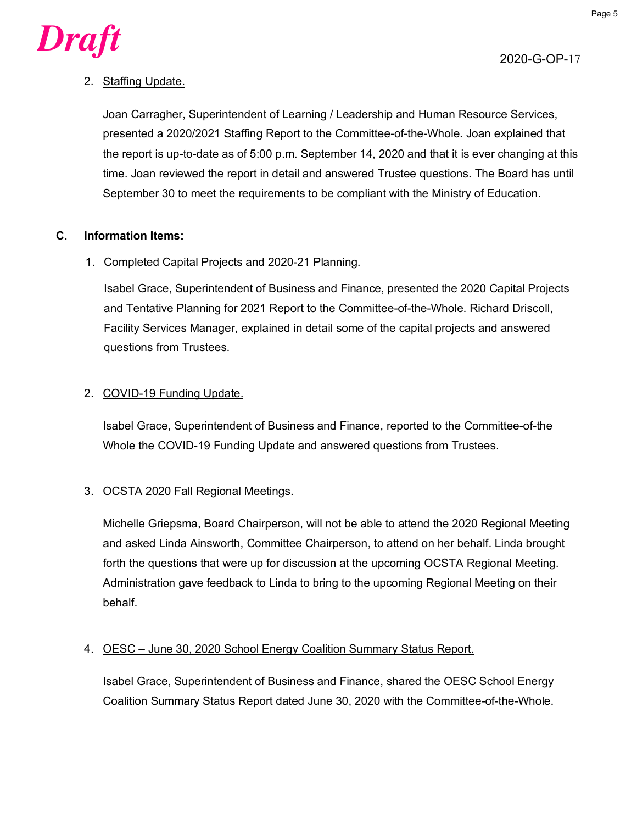

# $\boldsymbol{D}$ raft $\boldsymbol{L}$  Page 5

# 2. Staffing Update.

Joan Carragher, Superintendent of Learning / Leadership and Human Resource Services, presented a 2020/2021 Staffing Report to the Committee-of-the-Whole. Joan explained that the report is up-to-date as of 5:00 p.m. September 14, 2020 and that it is ever changing at this time. Joan reviewed the report in detail and answered Trustee questions. The Board has until September 30 to meet the requirements to be compliant with the Ministry of Education.

# **C. Information Items:**

# 1. Completed Capital Projects and 2020-21 Planning.

Isabel Grace, Superintendent of Business and Finance, presented the 2020 Capital Projects and Tentative Planning for 2021 Report to the Committee-of-the-Whole. Richard Driscoll, Facility Services Manager, explained in detail some of the capital projects and answered questions from Trustees.

# 2. COVID-19 Funding Update.

Isabel Grace, Superintendent of Business and Finance, reported to the Committee-of-the Whole the COVID-19 Funding Update and answered questions from Trustees.

# 3. OCSTA 2020 Fall Regional Meetings.

Michelle Griepsma, Board Chairperson, will not be able to attend the 2020 Regional Meeting and asked Linda Ainsworth, Committee Chairperson, to attend on her behalf. Linda brought forth the questions that were up for discussion at the upcoming OCSTA Regional Meeting. Administration gave feedback to Linda to bring to the upcoming Regional Meeting on their behalf.

# 4. OESC – June 30, 2020 School Energy Coalition Summary Status Report.

Isabel Grace, Superintendent of Business and Finance, shared the OESC School Energy Coalition Summary Status Report dated June 30, 2020 with the Committee-of-the-Whole.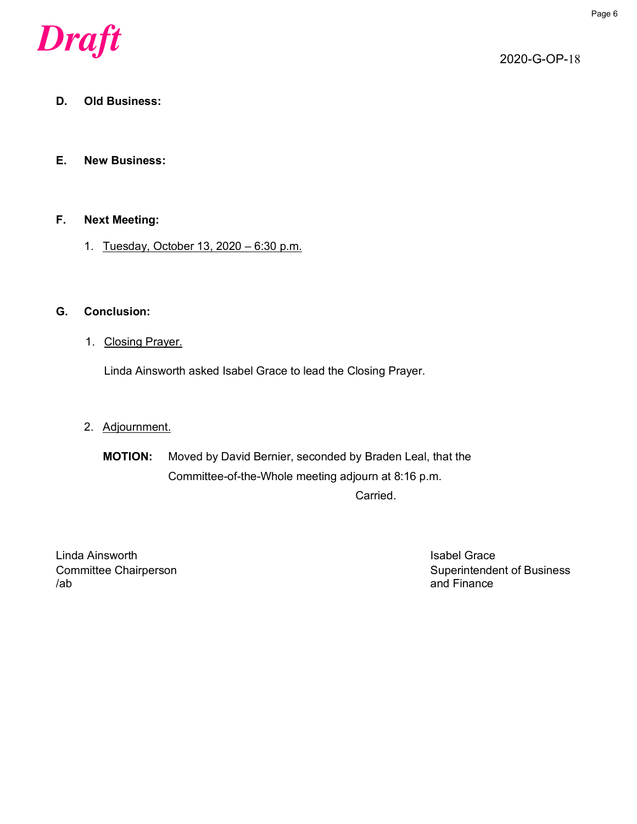

2020-G-OP-18

# **D. Old Business:**

#### **E. New Business:**

#### **F. Next Meeting:**

1. Tuesday, October 13, 2020 – 6:30 p.m.

# **G. Conclusion:**

1. Closing Prayer.

Linda Ainsworth asked Isabel Grace to lead the Closing Prayer.

# 2. Adjournment.

**MOTION:** Moved by David Bernier, seconded by Braden Leal, that the Committee-of-the-Whole meeting adjourn at 8:16 p.m.

Carried.

Linda Ainsworth **Islands** Crace in the United States of the United States of the United States of the United States /ab and Finance

Committee Chairperson Committee Chairperson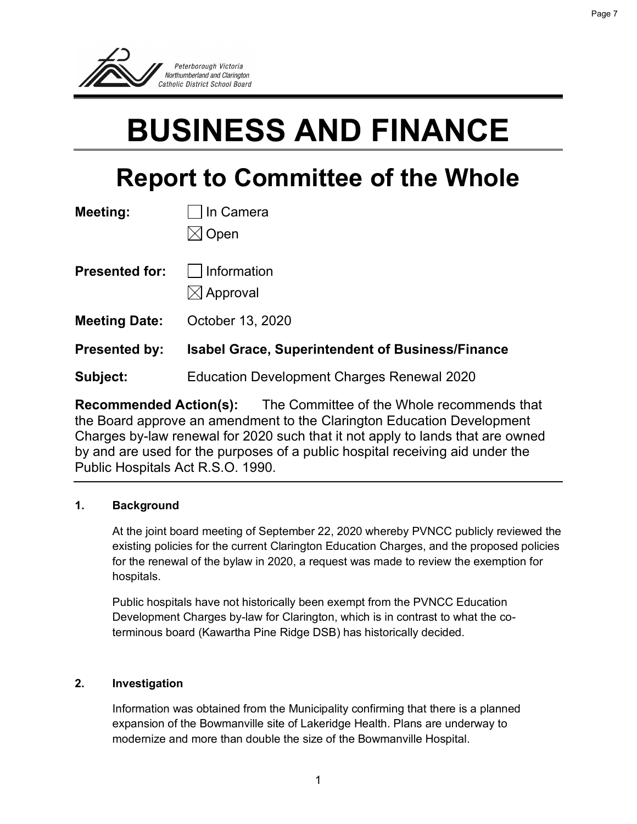

# **BUSINESS AND FINANCE**

# **Report to Committee of the Whole**

| Meeting:              | In Camera                                               |  |  |  |
|-----------------------|---------------------------------------------------------|--|--|--|
|                       | Open                                                    |  |  |  |
| <b>Presented for:</b> | Information<br>$\boxtimes$ Approval                     |  |  |  |
| <b>Meeting Date:</b>  | October 13, 2020                                        |  |  |  |
| <b>Presented by:</b>  | <b>Isabel Grace, Superintendent of Business/Finance</b> |  |  |  |
| Subject:              | <b>Education Development Charges Renewal 2020</b>       |  |  |  |

**Recommended Action(s):** The Committee of the Whole recommends that the Board approve an amendment to the Clarington Education Development Charges by-law renewal for 2020 such that it not apply to lands that are owned by and are used for the purposes of a public hospital receiving aid under the Public Hospitals Act R.S.O. 1990.

# **1. Background**

At the joint board meeting of September 22, 2020 whereby PVNCC publicly reviewed the existing policies for the current Clarington Education Charges, and the proposed policies for the renewal of the bylaw in 2020, a request was made to review the exemption for hospitals.

Public hospitals have not historically been exempt from the PVNCC Education Development Charges by-law for Clarington, which is in contrast to what the coterminous board (Kawartha Pine Ridge DSB) has historically decided.

# **2. Investigation**

Information was obtained from the Municipality confirming that there is a planned expansion of the Bowmanville site of Lakeridge Health. Plans are underway to modernize and more than double the size of the Bowmanville Hospital.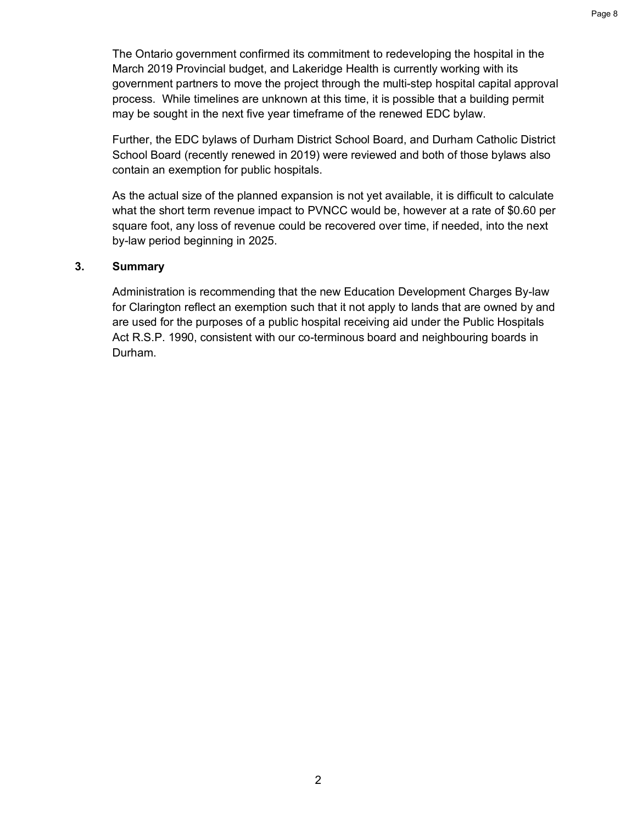The Ontario government confirmed its commitment to redeveloping the hospital in the March 2019 Provincial budget, and Lakeridge Health is currently working with its government partners to move the project through the multi-step hospital capital approval process. While timelines are unknown at this time, it is possible that a building permit may be sought in the next five year timeframe of the renewed EDC bylaw.

Further, the EDC bylaws of Durham District School Board, and Durham Catholic District School Board (recently renewed in 2019) were reviewed and both of those bylaws also contain an exemption for public hospitals.

As the actual size of the planned expansion is not yet available, it is difficult to calculate what the short term revenue impact to PVNCC would be, however at a rate of \$0.60 per square foot, any loss of revenue could be recovered over time, if needed, into the next by-law period beginning in 2025.

# **3. Summary**

Administration is recommending that the new Education Development Charges By-law for Clarington reflect an exemption such that it not apply to lands that are owned by and are used for the purposes of a public hospital receiving aid under the Public Hospitals Act R.S.P. 1990, consistent with our co-terminous board and neighbouring boards in Durham.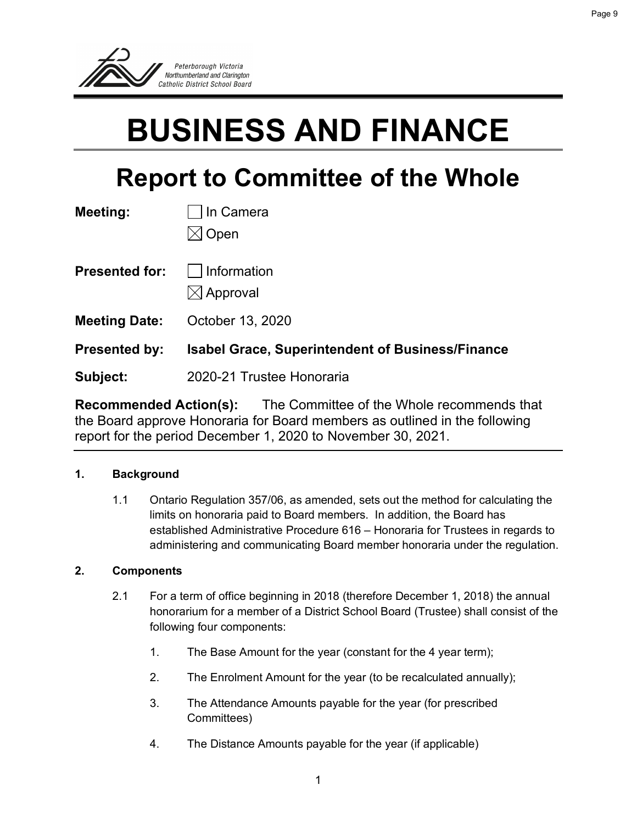

# **BUSINESS AND FINANCE**

# **Report to Committee of the Whole**

| Meeting:              | In Camera                                               |  |  |
|-----------------------|---------------------------------------------------------|--|--|
|                       | Open                                                    |  |  |
| <b>Presented for:</b> | Information                                             |  |  |
|                       | $\boxtimes$ Approval                                    |  |  |
| <b>Meeting Date:</b>  | October 13, 2020                                        |  |  |
| <b>Presented by:</b>  | <b>Isabel Grace, Superintendent of Business/Finance</b> |  |  |
| Subject:              | 2020-21 Trustee Honoraria                               |  |  |

**Recommended Action(s):** The Committee of the Whole recommends that the Board approve Honoraria for Board members as outlined in the following report for the period December 1, 2020 to November 30, 2021.

# **1. Background**

1.1 Ontario Regulation 357/06, as amended, sets out the method for calculating the limits on honoraria paid to Board members. In addition, the Board has established Administrative Procedure 616 – Honoraria for Trustees in regards to administering and communicating Board member honoraria under the regulation.

# **2. Components**

- 2.1 For a term of office beginning in 2018 (therefore December 1, 2018) the annual honorarium for a member of a District School Board (Trustee) shall consist of the following four components:
	- 1. The Base Amount for the year (constant for the 4 year term);
	- 2. The Enrolment Amount for the year (to be recalculated annually);
	- 3. The Attendance Amounts payable for the year (for prescribed Committees)
	- 4. The Distance Amounts payable for the year (if applicable)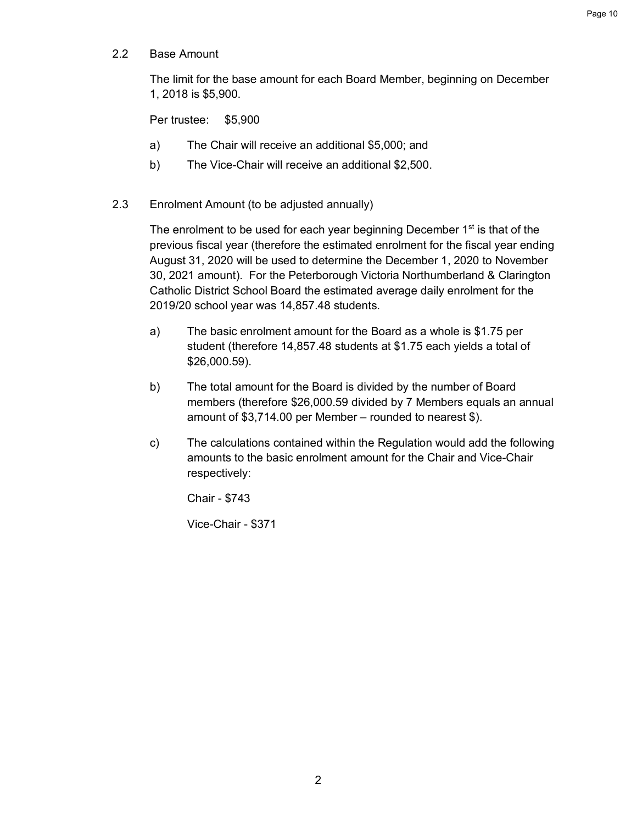2.2 Base Amount

The limit for the base amount for each Board Member, beginning on December 1, 2018 is \$5,900.

Per trustee: \$5,900

- a) The Chair will receive an additional \$5,000; and
- b) The Vice-Chair will receive an additional \$2,500.
- 2.3 Enrolment Amount (to be adjusted annually)

The enrolment to be used for each year beginning December  $1<sup>st</sup>$  is that of the previous fiscal year (therefore the estimated enrolment for the fiscal year ending August 31, 2020 will be used to determine the December 1, 2020 to November 30, 2021 amount). For the Peterborough Victoria Northumberland & Clarington Catholic District School Board the estimated average daily enrolment for the 2019/20 school year was 14,857.48 students.

- a) The basic enrolment amount for the Board as a whole is \$1.75 per student (therefore 14,857.48 students at \$1.75 each yields a total of \$26,000.59).
- b) The total amount for the Board is divided by the number of Board members (therefore \$26,000.59 divided by 7 Members equals an annual amount of \$3,714.00 per Member – rounded to nearest \$).
- c) The calculations contained within the Regulation would add the following amounts to the basic enrolment amount for the Chair and Vice-Chair respectively:

Chair - \$743

Vice-Chair - \$371